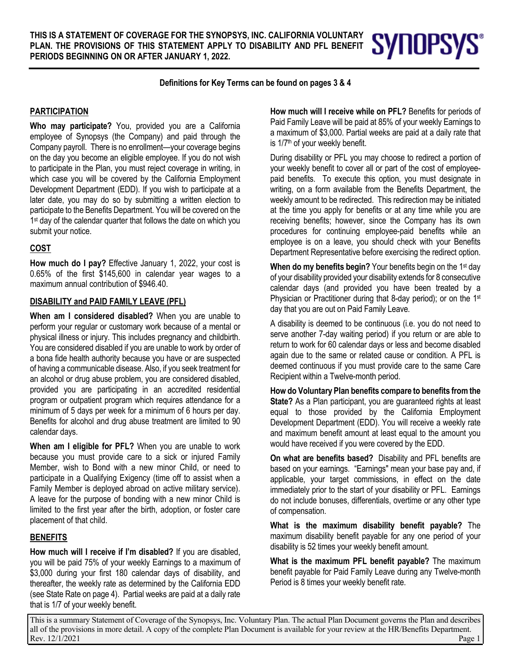**Definitions for Key Terms can be found on pages 3 & 4**

#### **PARTICIPATION**

**Who may participate?** You, provided you are a California employee of Synopsys (the Company) and paid through the Company payroll. There is no enrollment—your coverage begins on the day you become an eligible employee. If you do not wish to participate in the Plan, you must reject coverage in writing, in which case you will be covered by the California Employment Development Department (EDD). If you wish to participate at a later date, you may do so by submitting a written election to participate to the Benefits Department. You will be covered on the 1<sup>st</sup> day of the calendar quarter that follows the date on which you submit your notice.

### **COST**

**How much do I pay?** Effective January 1, 2022, your cost is 0.65% of the first \$145,600 in calendar year wages to a maximum annual contribution of \$946.40.

#### **DISABILITY and PAID FAMILY LEAVE (PFL)**

**When am I considered disabled?** When you are unable to perform your regular or customary work because of a mental or physical illness or injury. This includes pregnancy and childbirth. You are considered disabled if you are unable to work by order of a bona fide health authority because you have or are suspected of having a communicable disease. Also, if you seek treatment for an alcohol or drug abuse problem, you are considered disabled, provided you are participating in an accredited residential program or outpatient program which requires attendance for a minimum of 5 days per week for a minimum of 6 hours per day. Benefits for alcohol and drug abuse treatment are limited to 90 calendar days.

**When am I eligible for PFL?** When you are unable to work because you must provide care to a sick or injured Family Member, wish to Bond with a new minor Child, or need to participate in a Qualifying Exigency (time off to assist when a Family Member is deployed abroad on active military service). A leave for the purpose of bonding with a new minor Child is limited to the first year after the birth, adoption, or foster care placement of that child.

#### **BENEFITS**

**How much will I receive if I'm disabled?** If you are disabled, you will be paid 75% of your weekly Earnings to a maximum of \$3,000 during your first 180 calendar days of disability, and thereafter, the weekly rate as determined by the California EDD (see State Rate on page 4). Partial weeks are paid at a daily rate that is 1/7 of your weekly benefit.

**How much will I receive while on PFL?** Benefits for periods of Paid Family Leave will be paid at 85% of your weekly Earnings to a maximum of \$3,000. Partial weeks are paid at a daily rate that is 1/7<sup>th</sup> of your weekly benefit.

**SYNOPSYS®** 

During disability or PFL you may choose to redirect a portion of your weekly benefit to cover all or part of the cost of employeepaid benefits. To execute this option, you must designate in writing, on a form available from the Benefits Department, the weekly amount to be redirected. This redirection may be initiated at the time you apply for benefits or at any time while you are receiving benefits; however, since the Company has its own procedures for continuing employee-paid benefits while an employee is on a leave, you should check with your Benefits Department Representative before exercising the redirect option.

**When do my benefits begin?** Your benefits begin on the 1<sup>st</sup> day of your disability provided your disability extends for 8 consecutive calendar days (and provided you have been treated by a Physician or Practitioner during that 8-day period); or on the 1<sup>st</sup> day that you are out on Paid Family Leave.

A disability is deemed to be continuous (i.e. you do not need to serve another 7-day waiting period) if you return or are able to return to work for 60 calendar days or less and become disabled again due to the same or related cause or condition. A PFL is deemed continuous if you must provide care to the same Care Recipient within a Twelve-month period.

**How do Voluntary Plan benefits compare to benefits from the State?** As a Plan participant, you are guaranteed rights at least equal to those provided by the California Employment Development Department (EDD). You will receive a weekly rate and maximum benefit amount at least equal to the amount you would have received if you were covered by the EDD.

**On what are benefits based?** Disability and PFL benefits are based on your earnings. "Earnings" mean your base pay and, if applicable, your target commissions, in effect on the date immediately prior to the start of your disability or PFL. Earnings do not include bonuses, differentials, overtime or any other type of compensation.

**What is the maximum disability benefit payable?** The maximum disability benefit payable for any one period of your disability is 52 times your weekly benefit amount.

**What is the maximum PFL benefit payable?** The maximum benefit payable for Paid Family Leave during any Twelve-month Period is 8 times your weekly benefit rate.

This is a summary Statement of Coverage of the Synopsys, Inc. Voluntary Plan. The actual Plan Document governs the Plan and describes all of the provisions in more detail. A copy of the complete Plan Document is available for your review at the HR/Benefits Department.<br>Page Rev. 12/1/2021 Page 1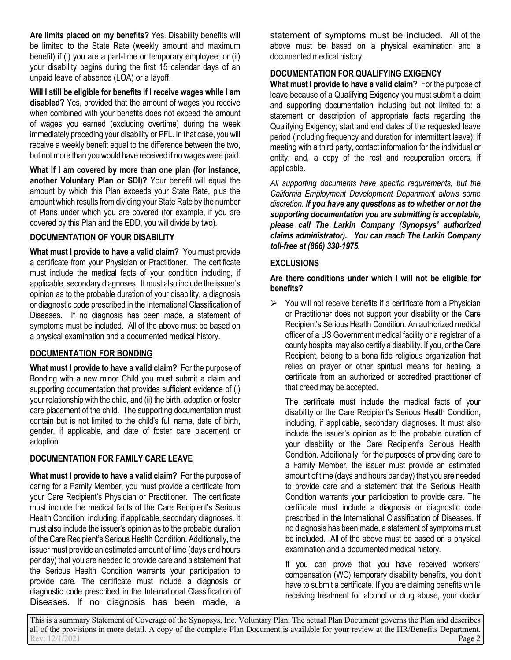**Are limits placed on my benefits?** Yes. Disability benefits will be limited to the State Rate (weekly amount and maximum benefit) if (i) you are a part-time or temporary employee; or (ii) your disability begins during the first 15 calendar days of an unpaid leave of absence (LOA) or a layoff.

**Will I still be eligible for benefits if I receive wages while I am disabled?** Yes, provided that the amount of wages you receive when combined with your benefits does not exceed the amount of wages you earned (excluding overtime) during the week immediately preceding your disability or PFL. In that case, you will receive a weekly benefit equal to the difference between the two, but not more than you would have received if no wages were paid.

**What if I am covered by more than one plan (for instance, another Voluntary Plan or SDI)?** Your benefit will equal the amount by which this Plan exceeds your State Rate, plus the amount which results from dividing your State Rate by the number of Plans under which you are covered (for example, if you are covered by this Plan and the EDD, you will divide by two).

# **DOCUMENTATION OF YOUR DISABILITY**

**What must I provide to have a valid claim?** You must provide a certificate from your Physician or Practitioner. The certificate must include the medical facts of your condition including, if applicable, secondary diagnoses. It must also include the issuer's opinion as to the probable duration of your disability, a diagnosis or diagnostic code prescribed in the International Classification of Diseases. If no diagnosis has been made, a statement of symptoms must be included. All of the above must be based on a physical examination and a documented medical history.

# **DOCUMENTATION FOR BONDING**

**What must I provide to have a valid claim?** For the purpose of Bonding with a new minor Child you must submit a claim and supporting documentation that provides sufficient evidence of (i) your relationship with the child, and (ii) the birth, adoption or foster care placement of the child. The supporting documentation must contain but is not limited to the child's full name, date of birth, gender, if applicable, and date of foster care placement or adoption.

# **DOCUMENTATION FOR FAMILY CARE LEAVE**

**What must I provide to have a valid claim?** For the purpose of caring for a Family Member, you must provide a certificate from your Care Recipient's Physician or Practitioner. The certificate must include the medical facts of the Care Recipient's Serious Health Condition, including, if applicable, secondary diagnoses. It must also include the issuer's opinion as to the probable duration of the Care Recipient's Serious Health Condition. Additionally, the issuer must provide an estimated amount of time (days and hours per day) that you are needed to provide care and a statement that the Serious Health Condition warrants your participation to provide care. The certificate must include a diagnosis or diagnostic code prescribed in the International Classification of Diseases. If no diagnosis has been made, a

statement of symptoms must be included. All of the above must be based on a physical examination and a documented medical history.

# **DOCUMENTATION FOR QUALIFYING EXIGENCY**

**What must I provide to have a valid claim?** For the purpose of leave because of a Qualifying Exigency you must submit a claim and supporting documentation including but not limited to: a statement or description of appropriate facts regarding the Qualifying Exigency; start and end dates of the requested leave period (including frequency and duration for intermittent leave); if meeting with a third party, contact information for the individual or entity; and, a copy of the rest and recuperation orders, if applicable.

*All supporting documents have specific requirements, but the California Employment Development Department allows some discretion. If you have any questions as to whether or not the supporting documentation you are submitting is acceptable, please call The Larkin Company (Synopsys' authorized claims administrator). You can reach The Larkin Company toll-free at (866) 330-1975.*

# **EXCLUSIONS**

**Are there conditions under which I will not be eligible for benefits?**

 $\triangleright$  You will not receive benefits if a certificate from a Physician or Practitioner does not support your disability or the Care Recipient's Serious Health Condition. An authorized medical officer of a US Government medical facility or a registrar of a county hospital may also certify a disability. If you, or the Care Recipient, belong to a bona fide religious organization that relies on prayer or other spiritual means for healing, a certificate from an authorized or accredited practitioner of that creed may be accepted.

The certificate must include the medical facts of your disability or the Care Recipient's Serious Health Condition, including, if applicable, secondary diagnoses. It must also include the issuer's opinion as to the probable duration of your disability or the Care Recipient's Serious Health Condition. Additionally, for the purposes of providing care to a Family Member, the issuer must provide an estimated amount of time (days and hours per day) that you are needed to provide care and a statement that the Serious Health Condition warrants your participation to provide care. The certificate must include a diagnosis or diagnostic code prescribed in the International Classification of Diseases. If no diagnosis has been made, a statement of symptoms must be included. All of the above must be based on a physical examination and a documented medical history.

If you can prove that you have received workers' compensation (WC) temporary disability benefits, you don't have to submit a certificate. If you are claiming benefits while receiving treatment for alcohol or drug abuse, your doctor

This is a summary Statement of Coverage of the Synopsys, Inc. Voluntary Plan. The actual Plan Document governs the Plan and describes all of the provisions in more detail. A copy of the complete Plan Document is available for your review at the HR/Benefits Department.<br>Page 2 Rev:  $12/1/2021$  **Page 2**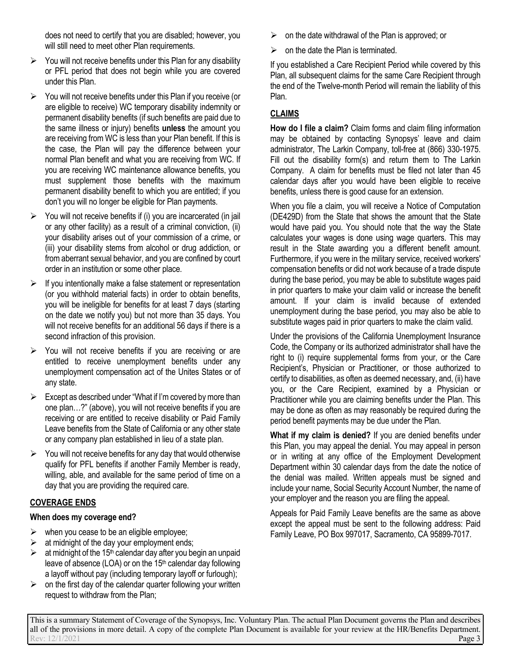does not need to certify that you are disabled; however, you will still need to meet other Plan requirements.

- $\triangleright$  You will not receive benefits under this Plan for any disability or PFL period that does not begin while you are covered under this Plan.
- $\triangleright$  You will not receive benefits under this Plan if you receive (or are eligible to receive) WC temporary disability indemnity or permanent disability benefits (if such benefits are paid due to the same illness or injury) benefits **unless** the amount you are receiving from WC is less than your Plan benefit. If this is the case, the Plan will pay the difference between your normal Plan benefit and what you are receiving from WC. If you are receiving WC maintenance allowance benefits, you must supplement those benefits with the maximum permanent disability benefit to which you are entitled; if you don't you will no longer be eligible for Plan payments.
- $\triangleright$  You will not receive benefits if (i) you are incarcerated (in jail or any other facility) as a result of a criminal conviction, (ii) your disability arises out of your commission of a crime, or (iii) your disability stems from alcohol or drug addiction, or from aberrant sexual behavior, and you are confined by court order in an institution or some other place.
- $\triangleright$  If you intentionally make a false statement or representation (or you withhold material facts) in order to obtain benefits, you will be ineligible for benefits for at least 7 days (starting on the date we notify you) but not more than 35 days. You will not receive benefits for an additional 56 days if there is a second infraction of this provision.
- $\triangleright$  You will not receive benefits if you are receiving or are entitled to receive unemployment benefits under any unemployment compensation act of the Unites States or of any state.
- $\triangleright$  Except as described under "What if I'm covered by more than one plan…?" (above), you will not receive benefits if you are receiving or are entitled to receive disability or Paid Family Leave benefits from the State of California or any other state or any company plan established in lieu of a state plan.
- $\triangleright$  You will not receive benefits for any day that would otherwise qualify for PFL benefits if another Family Member is ready, willing, able, and available for the same period of time on a day that you are providing the required care.

# **COVERAGE ENDS**

# **When does my coverage end?**

- $\triangleright$  when you cease to be an eligible employee;
- $\triangleright$  at midnight of the day your employment ends;
- $\geq$  at midnight of the 15<sup>th</sup> calendar day after you begin an unpaid leave of absence (LOA) or on the 15<sup>th</sup> calendar day following a layoff without pay (including temporary layoff or furlough);
- $\triangleright$  on the first day of the calendar quarter following your written request to withdraw from the Plan;
- $\triangleright$  on the date withdrawal of the Plan is approved; or
- $\triangleright$  on the date the Plan is terminated.

If you established a Care Recipient Period while covered by this Plan, all subsequent claims for the same Care Recipient through the end of the Twelve-month Period will remain the liability of this Plan.

# **CLAIMS**

**How do I file a claim?** Claim forms and claim filing information may be obtained by contacting Synopsys' leave and claim administrator, The Larkin Company, toll-free at (866) 330-1975. Fill out the disability form(s) and return them to The Larkin Company. A claim for benefits must be filed not later than 45 calendar days after you would have been eligible to receive benefits, unless there is good cause for an extension.

When you file a claim, you will receive a Notice of Computation (DE429D) from the State that shows the amount that the State would have paid you. You should note that the way the State calculates your wages is done using wage quarters. This may result in the State awarding you a different benefit amount. Furthermore, if you were in the military service, received workers' compensation benefits or did not work because of a trade dispute during the base period, you may be able to substitute wages paid in prior quarters to make your claim valid or increase the benefit amount. If your claim is invalid because of extended unemployment during the base period, you may also be able to substitute wages paid in prior quarters to make the claim valid.

Under the provisions of the California Unemployment Insurance Code, the Company or its authorized administrator shall have the right to (i) require supplemental forms from your, or the Care Recipient's, Physician or Practitioner, or those authorized to certify to disabilities, as often as deemed necessary, and, (ii) have you, or the Care Recipient, examined by a Physician or Practitioner while you are claiming benefits under the Plan. This may be done as often as may reasonably be required during the period benefit payments may be due under the Plan.

**What if my claim is denied?** If you are denied benefits under this Plan, you may appeal the denial. You may appeal in person or in writing at any office of the Employment Development Department within 30 calendar days from the date the notice of the denial was mailed. Written appeals must be signed and include your name, Social Security Account Number, the name of your employer and the reason you are filing the appeal.

Appeals for Paid Family Leave benefits are the same as above except the appeal must be sent to the following address: Paid Family Leave, PO Box 997017, Sacramento, CA 95899-7017.

This is a summary Statement of Coverage of the Synopsys, Inc. Voluntary Plan. The actual Plan Document governs the Plan and describes all of the provisions in more detail. A copy of the complete Plan Document is available for your review at the HR/Benefits Department. Rev: 12/1/2021 **Page 3**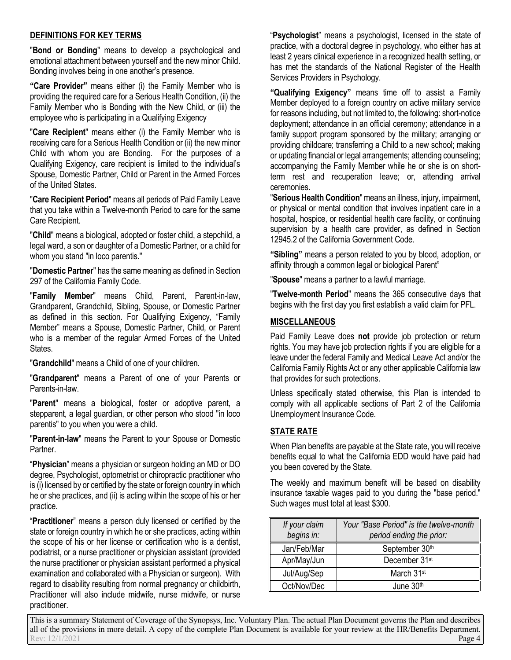### **DEFINITIONS FOR KEY TERMS**

"**Bond or Bonding**" means to develop a psychological and emotional attachment between yourself and the new minor Child. Bonding involves being in one another's presence.

**"Care Provider"** means either (i) the Family Member who is providing the required care for a Serious Health Condition, (ii) the Family Member who is Bonding with the New Child, or (iii) the employee who is participating in a Qualifying Exigency

"**Care Recipient**" means either (i) the Family Member who is receiving care for a Serious Health Condition or (ii) the new minor Child with whom you are Bonding. For the purposes of a Qualifying Exigency, care recipient is limited to the individual's Spouse, Domestic Partner, Child or Parent in the Armed Forces of the United States.

"**Care Recipient Period**" means all periods of Paid Family Leave that you take within a Twelve-month Period to care for the same Care Recipient.

"**Child**" means a biological, adopted or foster child, a stepchild, a legal ward, a son or daughter of a Domestic Partner, or a child for whom you stand "in loco parentis."

"**Domestic Partner**" has the same meaning as defined in Section 297 of the California Family Code.

"**Family Member**" means Child, Parent, Parent-in-law, Grandparent, Grandchild, Sibling, Spouse, or Domestic Partner as defined in this section. For Qualifying Exigency, "Family Member" means a Spouse, Domestic Partner, Child, or Parent who is a member of the regular Armed Forces of the United States.

"**Grandchild**" means a Child of one of your children.

"**Grandparent**" means a Parent of one of your Parents or Parents-in-law.

"**Parent**" means a biological, foster or adoptive parent, a stepparent, a legal guardian, or other person who stood "in loco parentis" to you when you were a child.

"**Parent-in-law**" means the Parent to your Spouse or Domestic Partner.

"**Physician**" means a physician or surgeon holding an MD or DO degree, Psychologist, optometrist or chiropractic practitioner who is (i) licensed by or certified by the state or foreign country in which he or she practices, and (ii) is acting within the scope of his or her practice.

"**Practitioner**" means a person duly licensed or certified by the state or foreign country in which he or she practices, acting within the scope of his or her license or certification who is a dentist, podiatrist, or a nurse practitioner or physician assistant (provided the nurse practitioner or physician assistant performed a physical examination and collaborated with a Physician or surgeon). With regard to disability resulting from normal pregnancy or childbirth, Practitioner will also include midwife, nurse midwife, or nurse practitioner.

"**Psychologist**" means a psychologist, licensed in the state of practice, with a doctoral degree in psychology, who either has at least 2 years clinical experience in a recognized health setting, or has met the standards of the National Register of the Health Services Providers in Psychology.

**"Qualifying Exigency"** means time off to assist a Family Member deployed to a foreign country on active military service for reasons including, but not limited to, the following: short-notice deployment; attendance in an official ceremony; attendance in a family support program sponsored by the military; arranging or providing childcare; transferring a Child to a new school; making or updating financial or legal arrangements; attending counseling; accompanying the Family Member while he or she is on shortterm rest and recuperation leave; or, attending arrival ceremonies.

"**Serious Health Condition**" means an illness, injury, impairment, or physical or mental condition that involves inpatient care in a hospital, hospice, or residential health care facility, or continuing supervision by a health care provider, as defined in Section 12945.2 of the California Government Code.

**"Sibling"** means a person related to you by blood, adoption, or affinity through a common legal or biological Parent"

"**Spouse**" means a partner to a lawful marriage.

"**Twelve-month Period**" means the 365 consecutive days that begins with the first day you first establish a valid claim for PFL.

### **MISCELLANEOUS**

Paid Family Leave does **not** provide job protection or return rights. You may have job protection rights if you are eligible for a leave under the federal Family and Medical Leave Act and/or the California Family Rights Act or any other applicable California law that provides for such protections.

Unless specifically stated otherwise, this Plan is intended to comply with all applicable sections of Part 2 of the California Unemployment Insurance Code.

# **STATE RATE**

When Plan benefits are payable at the State rate, you will receive benefits equal to what the California EDD would have paid had you been covered by the State.

The weekly and maximum benefit will be based on disability insurance taxable wages paid to you during the "base period." Such wages must total at least \$300.

| If your claim<br>begins in: | Your "Base Period" is the twelve-month   <br>period ending the prior: |
|-----------------------------|-----------------------------------------------------------------------|
| Jan/Feb/Mar                 | September 30th                                                        |
| Apr/May/Jun                 | December 31 <sup>st</sup>                                             |
| Jul/Aug/Sep                 | March 31 <sup>st</sup>                                                |
| Oct/Nov/Dec                 | June 30th                                                             |

This is a summary Statement of Coverage of the Synopsys, Inc. Voluntary Plan. The actual Plan Document governs the Plan and describes all of the provisions in more detail. A copy of the complete Plan Document is available for your review at the HR/Benefits Department.<br>Page 4 Rev:  $12/1/2021$  **Page 4**